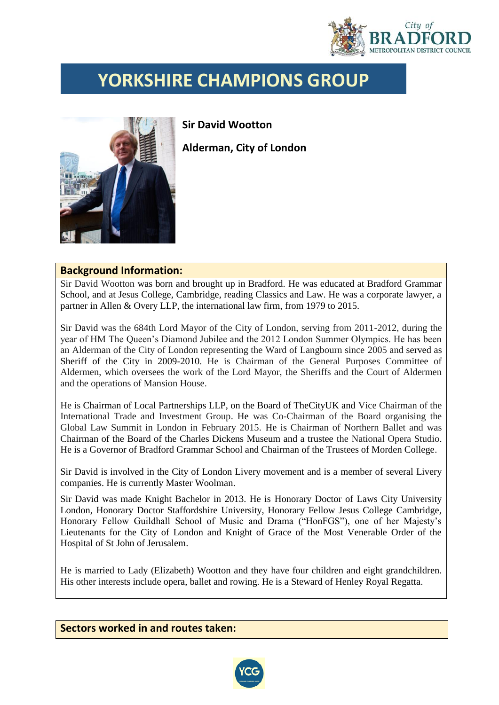

## **YORKSHIRE CHAMPIONS GROUP**



**Sir David Wootton**

**Alderman, City of London**

## **Background Information:**

Sir David Wootton was born and brought up in Bradford. He was educated at Bradford Grammar School, and at Jesus College, Cambridge, reading Classics and Law. He was a corporate lawyer, a partner in Allen & Overy LLP, the international law firm, from 1979 to 2015.

Sir David was the 684th Lord Mayor of the City of London, serving from 2011-2012, during the year of HM The Queen's Diamond Jubilee and the 2012 London Summer Olympics. He has been an Alderman of the City of London representing the Ward of Langbourn since 2005 and served as Sheriff of the City in 2009-2010. He is Chairman of the General Purposes Committee of Aldermen, which oversees the work of the Lord Mayor, the Sheriffs and the Court of Aldermen and the operations of Mansion House.

He is Chairman of Local Partnerships LLP, on the Board of TheCityUK and Vice Chairman of the International Trade and Investment Group. He was Co-Chairman of the Board organising the Global Law Summit in London in February 2015. He is Chairman of Northern Ballet and was Chairman of the Board of the Charles Dickens Museum and a trustee the National Opera Studio. He is a Governor of Bradford Grammar School and Chairman of the Trustees of Morden College.

Sir David is involved in the City of London Livery movement and is a member of several Livery companies. He is currently Master Woolman.

Sir David was made Knight Bachelor in 2013. He is Honorary Doctor of Laws City University London, Honorary Doctor Staffordshire University, Honorary Fellow Jesus College Cambridge, Honorary Fellow Guildhall School of Music and Drama ("HonFGS"), one of her Majesty's Lieutenants for the City of London and Knight of Grace of the Most Venerable Order of the Hospital of St John of Jerusalem.

He is married to Lady (Elizabeth) Wootton and they have four children and eight grandchildren. His other interests include opera, ballet and rowing. He is a Steward of Henley Royal Regatta.

**Sectors worked in and routes taken:**